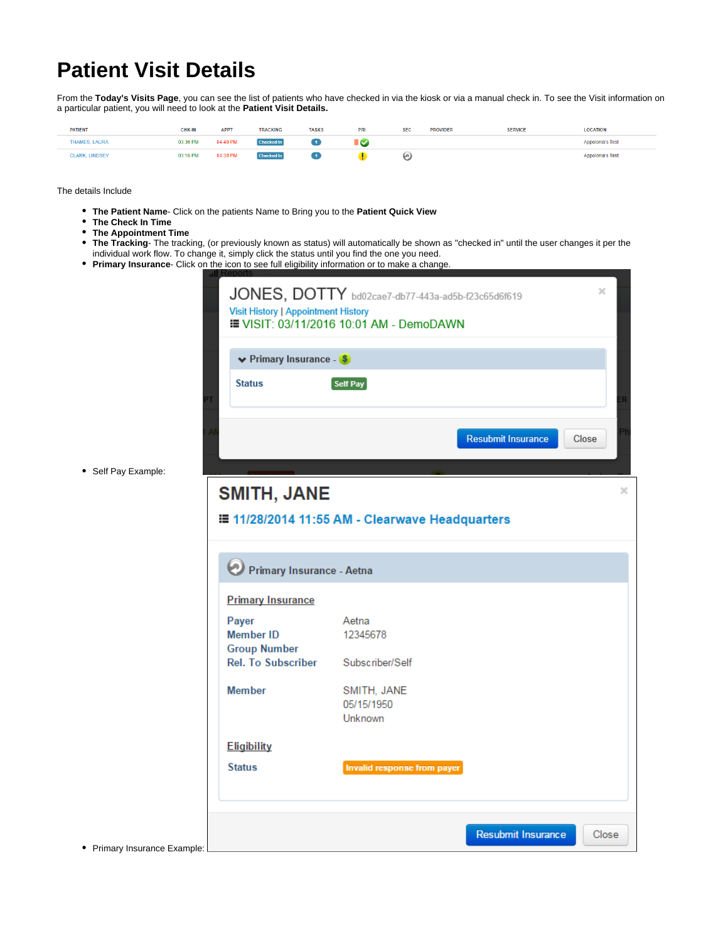## **Patient Visit Details**

From the Today's Visits Page, you can see the list of patients who have checked in via the kiosk or via a manual check in. To see the Visit information on a particular patient, you will need to look at the **Patient Visit Details.**

| <b>PATIENT</b>        | <b>CHK-IN</b> | <b>APPT</b> | <b>TRACKING</b>   | <b>TASKS</b> | PRI | <b>SEC</b> | <b>PROVIDER</b><br>-------- | <b>SERVICE</b> | <b>LOCATION</b>         |
|-----------------------|---------------|-------------|-------------------|--------------|-----|------------|-----------------------------|----------------|-------------------------|
| THAMES, LAURA         | 03:36 PM      | 04:40 PM    | <b>Checked In</b> |              |     |            |                             |                | Appolonia's Test        |
| <b>CLARK, LINDSEY</b> | 03:16 PM      | 04:30 PM    | <b>Checked In</b> |              |     | ۵          |                             |                | <b>Appolonia's Test</b> |

The details Include

- **The Patient Name** Click on the patients Name to Bring you to the **Patient Quick View**
- **The Check In Time**
- **The Appointment Time**
- **The Tracking** The tracking, (or previously known as status) will automatically be shown as "checked in" until the user changes it per the individual work flow. To change it, simply click the status until you find the one you need.
- **Primary Insurance** Click on the icon to see full eligibility information or to make a change.

| $\vee$ Primary Insurance - $\sqrt{s}$ |                                                |
|---------------------------------------|------------------------------------------------|
| <b>Status</b>                         | Self Pay                                       |
|                                       | <b>Resubmit Insurance</b><br>Close             |
| <b>SMITH, JANE</b>                    |                                                |
|                                       |                                                |
|                                       | E 11/28/2014 11:55 AM - Clearwave Headquarters |
|                                       |                                                |
|                                       |                                                |
|                                       |                                                |
| Primary Insurance - Aetna             |                                                |
|                                       |                                                |
| <b>Primary Insurance</b>              |                                                |
| Payer                                 | Aetna                                          |
| <b>Member ID</b>                      | 12345678                                       |
| <b>Group Number</b>                   |                                                |
| Rel. To Subscriber Subscriber/Self    |                                                |
| <b>Member</b>                         | SMITH, JANE                                    |
|                                       | 05/15/1950                                     |
|                                       | Unknown                                        |
| <b>Eligibility</b>                    |                                                |
| <b>Status</b>                         | Invalid response from payer                    |

• Self Pay Example:

• Primary Insurance Example: L